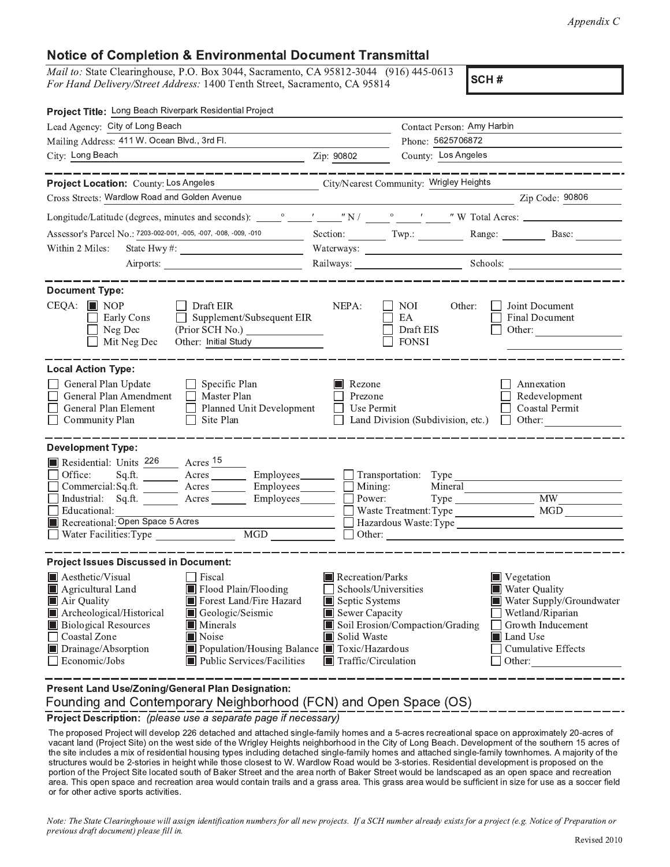## Notice of Completion & Environmental Document Transmittal  $\overline{X}$

 $1400$  Hand Delivery/Sireel Address: 1400 Tenin Sireel

SCH#

| Project Title: Long Beach Riverpark Residential Project                                                                                                                                                                                                                                                                                                                           |                                                                                                                                   |                                                                 |                                                                                                                                                                    |
|-----------------------------------------------------------------------------------------------------------------------------------------------------------------------------------------------------------------------------------------------------------------------------------------------------------------------------------------------------------------------------------|-----------------------------------------------------------------------------------------------------------------------------------|-----------------------------------------------------------------|--------------------------------------------------------------------------------------------------------------------------------------------------------------------|
| Lead Agency: City of Long Beach                                                                                                                                                                                                                                                                                                                                                   |                                                                                                                                   | Contact Person: Amy Harbin                                      |                                                                                                                                                                    |
| Mailing Address: 411 W. Ocean Blvd., 3rd Fl.                                                                                                                                                                                                                                                                                                                                      |                                                                                                                                   | Phone: 5625706872                                               |                                                                                                                                                                    |
| City: Long Beach                                                                                                                                                                                                                                                                                                                                                                  | County: Los Angeles<br>Zip: 90802                                                                                                 |                                                                 |                                                                                                                                                                    |
|                                                                                                                                                                                                                                                                                                                                                                                   |                                                                                                                                   |                                                                 |                                                                                                                                                                    |
| Project Location: County: Los Angeles                                                                                                                                                                                                                                                                                                                                             |                                                                                                                                   | City/Nearest Community: Wrigley Heights                         |                                                                                                                                                                    |
| Cross Streets: Wardlow Road and Golden Avenue                                                                                                                                                                                                                                                                                                                                     |                                                                                                                                   |                                                                 | Zip Code: 90806                                                                                                                                                    |
|                                                                                                                                                                                                                                                                                                                                                                                   |                                                                                                                                   |                                                                 |                                                                                                                                                                    |
| Assessor's Parcel No.: 7203-002-001, -005, -007, -008, -009, -010<br>$\overline{\phantom{a}}$                                                                                                                                                                                                                                                                                     |                                                                                                                                   |                                                                 | Section: Twp.: Range: Base:                                                                                                                                        |
| Within 2 Miles:<br>State Hwy #: $\frac{1}{\sqrt{1-\frac{1}{2}} \cdot \frac{1}{2} + \frac{1}{2} \cdot \frac{1}{2} + \frac{1}{2} \cdot \frac{1}{2} + \frac{1}{2} \cdot \frac{1}{2}}$                                                                                                                                                                                                |                                                                                                                                   |                                                                 |                                                                                                                                                                    |
|                                                                                                                                                                                                                                                                                                                                                                                   |                                                                                                                                   | Railways: Schools: Schools:                                     |                                                                                                                                                                    |
| <b>Document Type:</b><br>$CEQA:$ MOP<br>Draft EIR<br>Supplement/Subsequent EIR<br>Early Cons<br>Neg Dec<br>Other: Initial Study<br>Mit Neg Dec                                                                                                                                                                                                                                    | NEPA:                                                                                                                             | NOI<br>Other:<br>EA<br>Draft EIS<br><b>FONSI</b>                | Joint Document<br><b>Final Document</b><br>Other:                                                                                                                  |
| <b>Local Action Type:</b><br>General Plan Update<br>$\Box$ Specific Plan<br>General Plan Amendment<br>$\Box$ Master Plan<br>General Plan Element<br>$\Box$ Planned Unit Development<br>Site Plan<br>$\Box$ Community Plan                                                                                                                                                         | Rezone<br>Prezone<br>Use Permit                                                                                                   | Land Division (Subdivision, etc.)                               | Annexation<br>Redevelopment<br>Coastal Permit<br>$\Box$ Other:                                                                                                     |
| <b>Development Type:</b>                                                                                                                                                                                                                                                                                                                                                          |                                                                                                                                   |                                                                 |                                                                                                                                                                    |
| Residential: Units 226 Acres 15<br>Office:<br>$Sq.ft.$ $\_\_\_\_\_\_\_\_\_\_\_\_\_\_\_\_\_\_\_\_\_\_\_\_\_\_\_\_\_\_\_\_\_\_\_\_$<br>Employees________<br>Commercial:Sq.ft.<br>Acres<br>Industrial: Sq.ft. <u>Acres</u> Acres<br>$Employes$ $\Box$<br>Educational:<br>Recreational: Open Space 5 Acres<br>MGD<br>Water Facilities: Type ________________                          | $Employes \qquad \qquad \Box$ Mining:<br>Power:                                                                                   | $\Box$ Transportation: Type<br>Mineral<br>Waste Treatment: Type | MGD                                                                                                                                                                |
| <b>Project Issues Discussed in Document:</b>                                                                                                                                                                                                                                                                                                                                      |                                                                                                                                   |                                                                 |                                                                                                                                                                    |
| Aesthetic/Visual<br>Fiscal<br>Flood Plain/Flooding<br>$\blacksquare$ Agricultural Land<br>Air Quality<br>Forest Land/Fire Hazard<br>Archeological/Historical<br>Geologic/Seismic<br><b>Biological Resources</b><br>Minerals<br><b>Coastal Zone</b><br>Noise<br>Drainage/Absorption<br>Population/Housing Balance ■ Toxic/Hazardous<br>Economic/Jobs<br>Public Services/Facilities | Recreation/Parks<br>Schools/Universities<br>Septic Systems<br>Sewer Capacity<br>Solid Waste<br>$\blacksquare$ Traffic/Circulation | Soil Erosion/Compaction/Grading                                 | $\blacksquare$ Vegetation<br>Water Quality<br>Water Supply/Groundwater<br>Wetland/Riparian<br>Growth Inducement<br>Land Use<br><b>Cumulative Effects</b><br>Other: |
| <b>Present Land Use/Zoning/General Plan Designation:</b>                                                                                                                                                                                                                                                                                                                          |                                                                                                                                   |                                                                 |                                                                                                                                                                    |



!"#\$%& '( 

׫¨°¯¤°¤²¨³¶¯¤·¨ª´Îµµ³¨®¨µ¤°ÁÁÀ³¨´©ª«¨³©¥³©´´©ª«¨³²¥¦µ¨Ñº©¼µ¹«¤¼¨²©¥³©¿Ñ©ª¯¨²¯¨ª¯¨©´¤¥©µ²°©ª¨¤¥©°°¯¤Ø¼©´¨µ¹ÁÃÑ©ª¯¨²¤º

 ®©ª©¥´µ©¥³Õ¶¯¤·¨ª´Ó´¨Ö¤¥´«¨Î¨²´²³¨¤º´«¨Ç¯¦µ¨¹½¨¦«´²¥¨¦«¾¤¯«¤¤³¥´«¨¸´¹¤º£¤¥¦§¨©ª«ÈÙ¨®¨µ¤°¼¨¥´¤º´«¨²¤Ð´«¨¯¥Æ¿©ª¯¨²¤ºor for other active sports activities. vacant land (Project Site) on the west side of the Wrigley Heights neighborhood in the City of Long Beach. Development of the southern 15 acres of The proposed Project will develop 226 detached and attached single-family homes and a 5-acres recreational space on approximately 20-acres of the site includes a mix of residential housing types including detached single-family homes and attached single-family townhomes. A majority of the portion of the Project Site located south of Baker Street and the area north of Baker Street would be landscaped as an open space and recreation of the Project Site located south of Baker Street and the area north of Baker structures would be 2-stories in height while those closest to W. Wardlow Road would be 3-stories. Residential development is proposed on the area. This open space and recreation area would contain trails and a grass area. This grass area would be sufficient in size for use as a soccer field

.<br>Note: The State Clearinghouse will assign identification numbers for all new projects. If a SCH number already exists for a project (e.g. Notice of Preparation or eparation or previous draft document) please fill in.